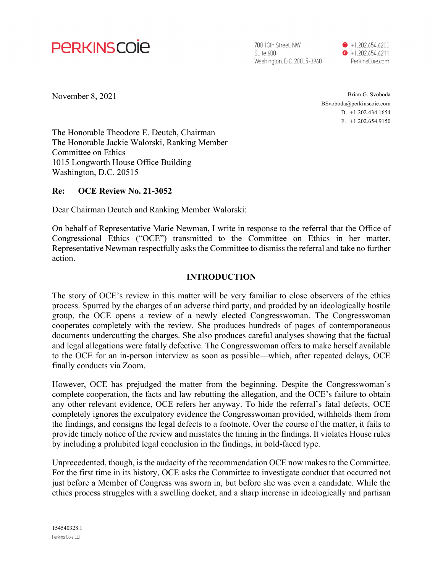

700 13th Street. NW Suite 600 Washington, D.C. 20005-3960  $\bullet$  +1.202.654.6200  $\bullet$  +1.202.654.6211 PerkinsCoie.com

November 8, 2021

Brian G. Svoboda BSvoboda@perkinscoie.com D. +1.202.434.1654 F. +1.202.654.9150

The Honorable Theodore E. Deutch, Chairman The Honorable Jackie Walorski, Ranking Member Committee on Ethics 1015 Longworth House Office Building Washington, D.C. 20515

#### **Re: OCE Review No. 21-3052**

Dear Chairman Deutch and Ranking Member Walorski:

On behalf of Representative Marie Newman, I write in response to the referral that the Office of Congressional Ethics ("OCE") transmitted to the Committee on Ethics in her matter. Representative Newman respectfully asks the Committee to dismiss the referral and take no further action.

#### **INTRODUCTION**

The story of OCE's review in this matter will be very familiar to close observers of the ethics process. Spurred by the charges of an adverse third party, and prodded by an ideologically hostile group, the OCE opens a review of a newly elected Congresswoman. The Congresswoman cooperates completely with the review. She produces hundreds of pages of contemporaneous documents undercutting the charges. She also produces careful analyses showing that the factual and legal allegations were fatally defective. The Congresswoman offers to make herself available to the OCE for an in-person interview as soon as possible—which, after repeated delays, OCE finally conducts via Zoom.

However, OCE has prejudged the matter from the beginning. Despite the Congresswoman's complete cooperation, the facts and law rebutting the allegation, and the OCE's failure to obtain any other relevant evidence, OCE refers her anyway. To hide the referral's fatal defects, OCE completely ignores the exculpatory evidence the Congresswoman provided, withholds them from the findings, and consigns the legal defects to a footnote. Over the course of the matter, it fails to provide timely notice of the review and misstates the timing in the findings. It violates House rules by including a prohibited legal conclusion in the findings, in bold-faced type.

Unprecedented, though, is the audacity of the recommendation OCE now makes to the Committee. For the first time in its history, OCE asks the Committee to investigate conduct that occurred not just before a Member of Congress was sworn in, but before she was even a candidate. While the ethics process struggles with a swelling docket, and a sharp increase in ideologically and partisan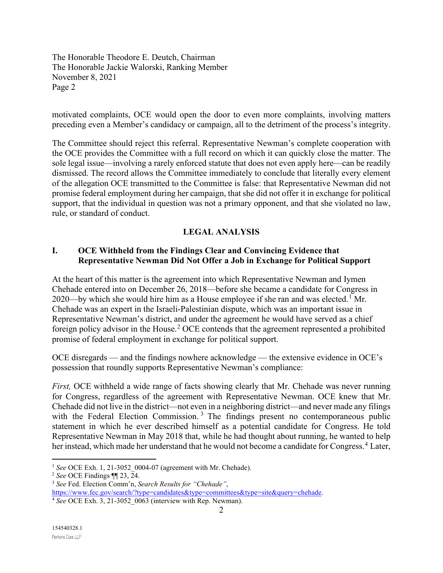motivated complaints, OCE would open the door to even more complaints, involving matters preceding even a Member's candidacy or campaign, all to the detriment of the process's integrity.

The Committee should reject this referral. Representative Newman's complete cooperation with the OCE provides the Committee with a full record on which it can quickly close the matter. The sole legal issue—involving a rarely enforced statute that does not even apply here—can be readily dismissed. The record allows the Committee immediately to conclude that literally every element of the allegation OCE transmitted to the Committee is false: that Representative Newman did not promise federal employment during her campaign, that she did not offer it in exchange for political support, that the individual in question was not a primary opponent, and that she violated no law, rule, or standard of conduct.

# **LEGAL ANALYSIS**

### **I. OCE Withheld from the Findings Clear and Convincing Evidence that Representative Newman Did Not Offer a Job in Exchange for Political Support**

At the heart of this matter is the agreement into which Representative Newman and Iymen Chehade entered into on December 26, 2018—before she became a candidate for Congress in 2020—by which she would hire him as a House employee if she ran and was elected.<sup>[1](#page-1-0)</sup> Mr. Chehade was an expert in the Israeli-Palestinian dispute, which was an important issue in Representative Newman's district, and under the agreement he would have served as a chief foreign policy advisor in the House.<sup>[2](#page-1-1)</sup> OCE contends that the agreement represented a prohibited promise of federal employment in exchange for political support.

OCE disregards — and the findings nowhere acknowledge — the extensive evidence in OCE's possession that roundly supports Representative Newman's compliance:

*First, OCE* withheld a wide range of facts showing clearly that Mr. Chehade was never running for Congress, regardless of the agreement with Representative Newman. OCE knew that Mr. Chehade did not live in the district—not even in a neighboring district—and never made any filings with the Federal Election Commission.<sup>[3](#page-1-2)</sup> The findings present no contemporaneous public statement in which he ever described himself as a potential candidate for Congress. He told Representative Newman in May 2018 that, while he had thought about running, he wanted to help her instead, which made her understand that he would not become a candidate for Congress.<sup>[4](#page-1-3)</sup> Later,

<span id="page-1-0"></span><sup>1</sup> *See* OCE Exh. 1, 21-3052\_0004-07 (agreement with Mr. Chehade).

<span id="page-1-1"></span><sup>2</sup> *See* OCE Findings ¶¶ 23, 24.

<span id="page-1-3"></span><span id="page-1-2"></span><sup>3</sup> *See* Fed. Election Comm'n, *Search Results for "Chehade"*, [https://www.fec.gov/search/?type=candidates&type=committees&type=site&query=chehade.](https://www.fec.gov/search/?type=candidates&type=committees&type=site&query=chehade) 4 *See* OCE Exh. 3, 21-3052\_0063 (interview with Rep. Newman).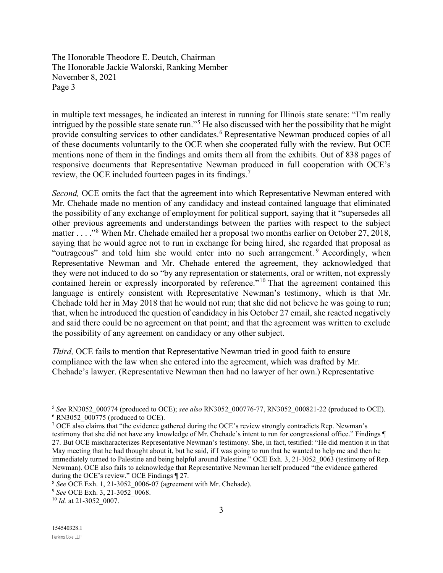in multiple text messages, he indicated an interest in running for Illinois state senate: "I'm really intrigued by the possible state senate run."<sup>[5](#page-2-0)</sup> He also discussed with her the possibility that he might provide consulting services to other candidates.<sup>[6](#page-2-1)</sup> Representative Newman produced copies of all of these documents voluntarily to the OCE when she cooperated fully with the review. But OCE mentions none of them in the findings and omits them all from the exhibits. Out of 838 pages of responsive documents that Representative Newman produced in full cooperation with OCE's review, the OCE included fourteen pages in its findings.<sup>[7](#page-2-2)</sup>

*Second,* OCE omits the fact that the agreement into which Representative Newman entered with Mr. Chehade made no mention of any candidacy and instead contained language that eliminated the possibility of any exchange of employment for political support, saying that it "supersedes all other previous agreements and understandings between the parties with respect to the subject matter . . . . "<sup>[8](#page-2-3)</sup> When Mr. Chehade emailed her a proposal two months earlier on October 27, 2018, saying that he would agree not to run in exchange for being hired, she regarded that proposal as "outrageous" and told him she would enter into no such arrangement. Accordingly, when Representative Newman and Mr. Chehade entered the agreement, they acknowledged that they were not induced to do so "by any representation or statements, oral or written, not expressly contained herein or expressly incorporated by reference."<sup>[10](#page-2-5)</sup> That the agreement contained this language is entirely consistent with Representative Newman's testimony, which is that Mr. Chehade told her in May 2018 that he would not run; that she did not believe he was going to run; that, when he introduced the question of candidacy in his October 27 email, she reacted negatively and said there could be no agreement on that point; and that the agreement was written to exclude the possibility of any agreement on candidacy or any other subject.

*Third,* OCE fails to mention that Representative Newman tried in good faith to ensure compliance with the law when she entered into the agreement, which was drafted by Mr. Chehade's lawyer. (Representative Newman then had no lawyer of her own.) Representative

<span id="page-2-1"></span><span id="page-2-0"></span><sup>5</sup> *See* RN3052\_000774 (produced to OCE); *see also* RN3052\_000776-77, RN3052\_000821-22 (produced to OCE).  $6$  RN3052  $000775$  (produced to OCE).

<span id="page-2-2"></span><sup>&</sup>lt;sup>7</sup> OCE also claims that "the evidence gathered during the OCE's review strongly contradicts Rep. Newman's testimony that she did not have any knowledge of Mr. Chehade's intent to run for congressional office." Findings ¶ 27. But OCE mischaracterizes Representative Newman's testimony. She, in fact, testified: "He did mention it in that May meeting that he had thought about it, but he said, if I was going to run that he wanted to help me and then he

immediately turned to Palestine and being helpful around Palestine." OCE Exh. 3, 21-3052\_0063 (testimony of Rep. Newman). OCE also fails to acknowledge that Representative Newman herself produced "the evidence gathered during the OCE's review." OCE Findings ¶ 27.

<span id="page-2-3"></span><sup>8</sup> *See* OCE Exh. 1, 21-3052\_0006-07 (agreement with Mr. Chehade).

<span id="page-2-4"></span><sup>9</sup> *See* OCE Exh. 3, 21-3052\_0068.

<span id="page-2-5"></span><sup>10</sup> *Id.* at 21-3052\_0007.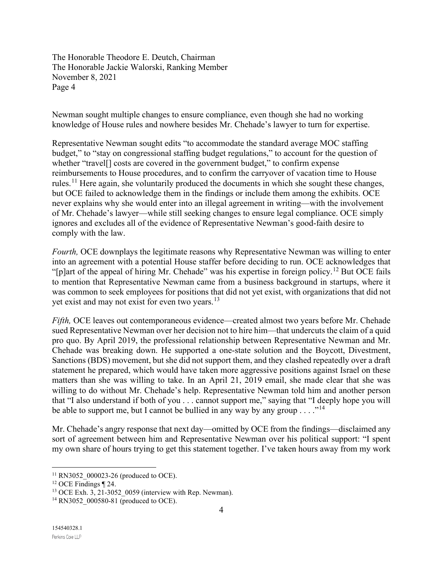Newman sought multiple changes to ensure compliance, even though she had no working knowledge of House rules and nowhere besides Mr. Chehade's lawyer to turn for expertise.

Representative Newman sought edits "to accommodate the standard average MOC staffing budget," to "stay on congressional staffing budget regulations," to account for the question of whether "travel[] costs are covered in the government budget," to confirm expense reimbursements to House procedures, and to confirm the carryover of vacation time to House rules.[11](#page-3-0) Here again, she voluntarily produced the documents in which she sought these changes, but OCE failed to acknowledge them in the findings or include them among the exhibits. OCE never explains why she would enter into an illegal agreement in writing—with the involvement of Mr. Chehade's lawyer—while still seeking changes to ensure legal compliance. OCE simply ignores and excludes all of the evidence of Representative Newman's good-faith desire to comply with the law.

*Fourth,* OCE downplays the legitimate reasons why Representative Newman was willing to enter into an agreement with a potential House staffer before deciding to run. OCE acknowledges that "[p]art of the appeal of hiring Mr. Chehade" was his expertise in foreign policy.<sup>[12](#page-3-1)</sup> But OCE fails to mention that Representative Newman came from a business background in startups, where it was common to seek employees for positions that did not yet exist, with organizations that did not yet exist and may not exist for even two years.<sup>[13](#page-3-2)</sup>

*Fifth,* OCE leaves out contemporaneous evidence—created almost two years before Mr. Chehade sued Representative Newman over her decision not to hire him—that undercuts the claim of a quid pro quo. By April 2019, the professional relationship between Representative Newman and Mr. Chehade was breaking down. He supported a one-state solution and the Boycott, Divestment, Sanctions (BDS) movement, but she did not support them, and they clashed repeatedly over a draft statement he prepared, which would have taken more aggressive positions against Israel on these matters than she was willing to take. In an April 21, 2019 email, she made clear that she was willing to do without Mr. Chehade's help. Representative Newman told him and another person that "I also understand if both of you . . . cannot support me," saying that "I deeply hope you will be able to support me, but I cannot be bullied in any way by any group  $\dots$ ."<sup>[14](#page-3-3)</sup>

Mr. Chehade's angry response that next day—omitted by OCE from the findings—disclaimed any sort of agreement between him and Representative Newman over his political support: "I spent my own share of hours trying to get this statement together. I've taken hours away from my work

<span id="page-3-1"></span><span id="page-3-0"></span><sup>&</sup>lt;sup>11</sup> RN3052\_000023-26 (produced to OCE).<br><sup>12</sup> OCE Findings ¶ 24.<br><sup>13</sup> OCE Exh. 3, 21-3052 0059 (interview with Rep. Newman).

<span id="page-3-3"></span><span id="page-3-2"></span><sup>&</sup>lt;sup>14</sup> RN3052 000580-81 (produced to OCE).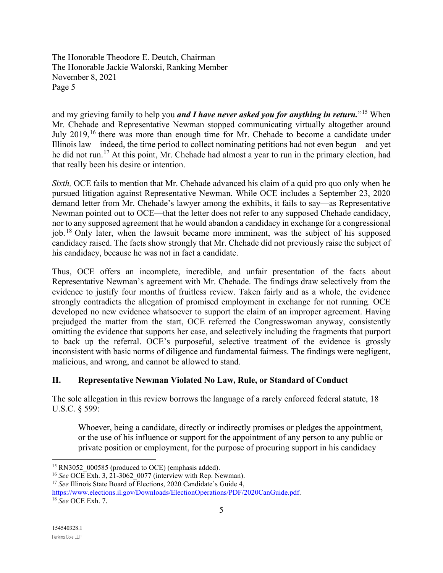and my grieving family to help you *and I have never asked you for anything in return.*"[15](#page-4-0) When Mr. Chehade and Representative Newman stopped communicating virtually altogether around July 2019,<sup>[16](#page-4-1)</sup> there was more than enough time for Mr. Chehade to become a candidate under Illinois law—indeed, the time period to collect nominating petitions had not even begun—and yet he did not run.<sup>[17](#page-4-2)</sup> At this point, Mr. Chehade had almost a year to run in the primary election, had that really been his desire or intention.

*Sixth,* OCE fails to mention that Mr. Chehade advanced his claim of a quid pro quo only when he pursued litigation against Representative Newman. While OCE includes a September 23, 2020 demand letter from Mr. Chehade's lawyer among the exhibits, it fails to say—as Representative Newman pointed out to OCE—that the letter does not refer to any supposed Chehade candidacy, nor to any supposed agreement that he would abandon a candidacy in exchange for a congressional job. [18](#page-4-3) Only later, when the lawsuit became more imminent, was the subject of his supposed candidacy raised. The facts show strongly that Mr. Chehade did not previously raise the subject of his candidacy, because he was not in fact a candidate.

Thus, OCE offers an incomplete, incredible, and unfair presentation of the facts about Representative Newman's agreement with Mr. Chehade. The findings draw selectively from the evidence to justify four months of fruitless review. Taken fairly and as a whole, the evidence strongly contradicts the allegation of promised employment in exchange for not running. OCE developed no new evidence whatsoever to support the claim of an improper agreement. Having prejudged the matter from the start, OCE referred the Congresswoman anyway, consistently omitting the evidence that supports her case, and selectively including the fragments that purport to back up the referral. OCE's purposeful, selective treatment of the evidence is grossly inconsistent with basic norms of diligence and fundamental fairness. The findings were negligent, malicious, and wrong, and cannot be allowed to stand.

### **II. Representative Newman Violated No Law, Rule, or Standard of Conduct**

The sole allegation in this review borrows the language of a rarely enforced federal statute, 18 U.S.C. § 599:

Whoever, being a candidate, directly or indirectly promises or pledges the appointment, or the use of his influence or support for the appointment of any person to any public or private position or employment, for the purpose of procuring support in his candidacy

<span id="page-4-0"></span><sup>&</sup>lt;sup>15</sup> RN3052 000585 (produced to OCE) (emphasis added).

<span id="page-4-1"></span><sup>&</sup>lt;sup>16</sup> *See* OCE Exh. 3, 21-3062 0077 (interview with Rep. Newman).

<span id="page-4-2"></span><sup>&</sup>lt;sup>17</sup> See Illinois State Board of Elections, 2020 Candidate's Guide 4,

<span id="page-4-3"></span>[https://www.elections.il.gov/Downloads/ElectionOperations/PDF/2020CanGuide.pdf.](https://www.elections.il.gov/Downloads/ElectionOperations/PDF/2020CanGuide.pdf) 18 *See* OCE Exh. 7.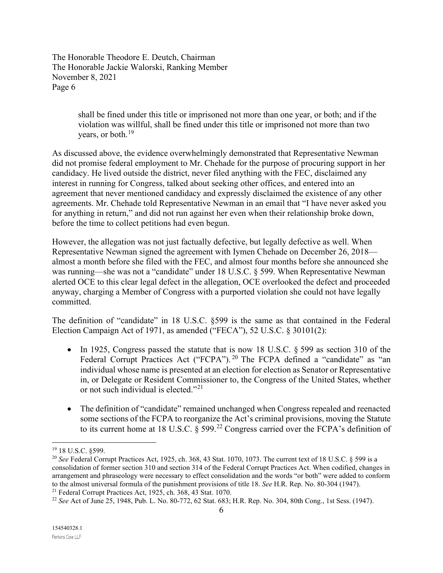> shall be fined under this title or imprisoned not more than one year, or both; and if the violation was willful, shall be fined under this title or imprisoned not more than two years, or both.<sup>[19](#page-5-0)</sup>

As discussed above, the evidence overwhelmingly demonstrated that Representative Newman did not promise federal employment to Mr. Chehade for the purpose of procuring support in her candidacy. He lived outside the district, never filed anything with the FEC, disclaimed any interest in running for Congress, talked about seeking other offices, and entered into an agreement that never mentioned candidacy and expressly disclaimed the existence of any other agreements. Mr. Chehade told Representative Newman in an email that "I have never asked you for anything in return," and did not run against her even when their relationship broke down, before the time to collect petitions had even begun.

However, the allegation was not just factually defective, but legally defective as well. When Representative Newman signed the agreement with Iymen Chehade on December 26, 2018 almost a month before she filed with the FEC, and almost four months before she announced she was running—she was not a "candidate" under 18 U.S.C. § 599. When Representative Newman alerted OCE to this clear legal defect in the allegation, OCE overlooked the defect and proceeded anyway, charging a Member of Congress with a purported violation she could not have legally committed.

The definition of "candidate" in 18 U.S.C. §599 is the same as that contained in the Federal Election Campaign Act of 1971, as amended ("FECA"), 52 U.S.C. § 30101(2):

- In 1925, Congress passed the statute that is now 18 U.S.C. § 599 as section 310 of the Federal Corrupt Practices Act ("FCPA").<sup>[20](#page-5-1)</sup> The FCPA defined a "candidate" as "an individual whose name is presented at an election for election as Senator or Representative in, or Delegate or Resident Commissioner to, the Congress of the United States, whether or not such individual is elected."[21](#page-5-2)
- The definition of "candidate" remained unchanged when Congress repealed and reenacted some sections of the FCPA to reorganize the Act's criminal provisions, moving the Statute to its current home at 18 U.S.C.  $\S 599.^{22}$  $\S 599.^{22}$  $\S 599.^{22}$  Congress carried over the FCPA's definition of

<span id="page-5-0"></span><sup>19</sup> 18 U.S.C. §599.

<span id="page-5-1"></span><sup>20</sup> *See* Federal Corrupt Practices Act, 1925, ch. 368, 43 Stat. 1070, 1073. The current text of 18 U.S.C. § 599 is a consolidation of former section 310 and section 314 of the Federal Corrupt Practices Act. When codified, changes in arrangement and phraseology were necessary to effect consolidation and the words "or both" were added to conform to the almost universal formula of the punishment provisions of title 18. See H.R. Rep. No. 80-304 (1947).<br><sup>21</sup> Federal Corrupt Practices Act, 1925, ch. 368, 43 Stat. 1070.<br><sup>22</sup> See Act of June 25, 1948, Pub. L. No. 80-772

<span id="page-5-3"></span><span id="page-5-2"></span>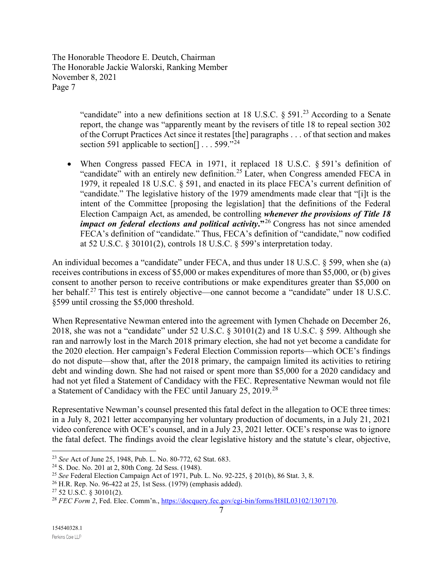> "candidate" into a new definitions section at 18 U.S.C.  $\frac{1}{2}$   $\frac{3}{2}$  According to a Senate report, the change was "apparently meant by the revisers of title 18 to repeal section 302 of the Corrupt Practices Act since it restates [the] paragraphs . . . of that section and makes section 591 applicable to section  $[1 \dots 599 \cdot 24]$  $[1 \dots 599 \cdot 24]$  $[1 \dots 599 \cdot 24]$

• When Congress passed FECA in 1971, it replaced 18 U.S.C. § 591's definition of "candidate" with an entirely new definition.<sup>[25](#page-6-2)</sup> Later, when Congress amended FECA in 1979, it repealed 18 U.S.C. § 591, and enacted in its place FECA's current definition of "candidate." The legislative history of the 1979 amendments made clear that "[i]t is the intent of the Committee [proposing the legislation] that the definitions of the Federal Election Campaign Act, as amended, be controlling *whenever the provisions of Title 18 impact on federal elections and political activity.*<sup>[26](#page-6-3)</sup> Congress has not since amended FECA's definition of "candidate." Thus, FECA's definition of "candidate," now codified at 52 U.S.C. § 30101(2), controls 18 U.S.C. § 599's interpretation today.

An individual becomes a "candidate" under FECA, and thus under 18 U.S.C. § 599, when she (a) receives contributions in excess of \$5,000 or makes expenditures of more than \$5,000, or (b) gives consent to another person to receive contributions or make expenditures greater than \$5,000 on her behalf.<sup>[27](#page-6-4)</sup> This test is entirely objective—one cannot become a "candidate" under 18 U.S.C. §599 until crossing the \$5,000 threshold.

When Representative Newman entered into the agreement with Iymen Chehade on December 26, 2018, she was not a "candidate" under 52 U.S.C. § 30101(2) and 18 U.S.C. § 599. Although she ran and narrowly lost in the March 2018 primary election, she had not yet become a candidate for the 2020 election. Her campaign's Federal Election Commission reports—which OCE's findings do not dispute—show that, after the 2018 primary, the campaign limited its activities to retiring debt and winding down. She had not raised or spent more than \$5,000 for a 2020 candidacy and had not yet filed a Statement of Candidacy with the FEC. Representative Newman would not file a Statement of Candidacy with the FEC until January 25, 2019.<sup>[28](#page-6-5)</sup>

Representative Newman's counsel presented this fatal defect in the allegation to OCE three times: in a July 8, 2021 letter accompanying her voluntary production of documents, in a July 21, 2021 video conference with OCE's counsel, and in a July 23, 2021 letter. OCE's response was to ignore the fatal defect. The findings avoid the clear legislative history and the statute's clear, objective,

<span id="page-6-0"></span><sup>&</sup>lt;sup>23</sup> *See* Act of June 25, 1948, Pub. L. No. 80-772, 62 Stat. 683.<br><sup>24</sup> S. Doc. No. 201 at 2, 80th Cong. 2d Sess. (1948).

<span id="page-6-1"></span>

<span id="page-6-2"></span><sup>&</sup>lt;sup>25</sup> *See* Federal Election Campaign Act of 1971, Pub. L. No. 92-225, § 201(b), 86 Stat. 3, 8.<br><sup>26</sup> H.R. Rep. No. 96-422 at 25, 1st Sess. (1979) (emphasis added).

<span id="page-6-5"></span><span id="page-6-4"></span><span id="page-6-3"></span><sup>&</sup>lt;sup>27</sup> 52 U.S.C. § 30101(2).<br><sup>28</sup> *FEC Form 2*, Fed. Elec. Comm'n., [https://docquery.fec.gov/cgi-bin/forms/H8IL03102/1307170.](https://docquery.fec.gov/cgi-bin/forms/H8IL03102/1307170)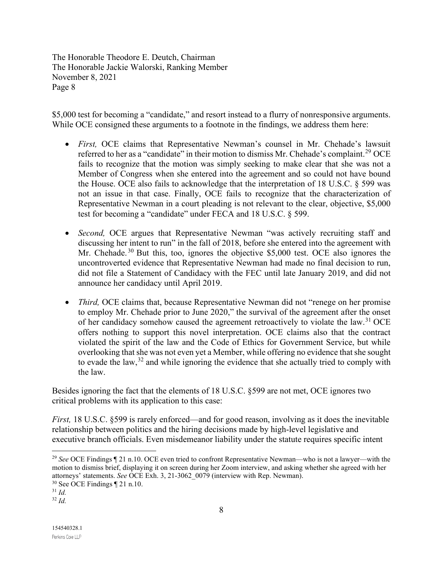\$5,000 test for becoming a "candidate," and resort instead to a flurry of nonresponsive arguments. While OCE consigned these arguments to a footnote in the findings, we address them here:

- *First,* OCE claims that Representative Newman's counsel in Mr. Chehade's lawsuit referred to her as a "candidate" in their motion to dismiss Mr. Chehade's complaint.<sup>[29](#page-7-0)</sup> OCE fails to recognize that the motion was simply seeking to make clear that she was not a Member of Congress when she entered into the agreement and so could not have bound the House. OCE also fails to acknowledge that the interpretation of 18 U.S.C.  $\S$  599 was not an issue in that case. Finally, OCE fails to recognize that the characterization of Representative Newman in a court pleading is not relevant to the clear, objective, \$5,000 test for becoming a "candidate" under FECA and 18 U.S.C. § 599.
- *Second,* OCE argues that Representative Newman "was actively recruiting staff and discussing her intent to run" in the fall of 2018, before she entered into the agreement with Mr. Chehade.<sup>[30](#page-7-1)</sup> But this, too, ignores the objective \$5,000 test. OCE also ignores the uncontroverted evidence that Representative Newman had made no final decision to run, did not file a Statement of Candidacy with the FEC until late January 2019, and did not announce her candidacy until April 2019.
- *Third*, OCE claims that, because Representative Newman did not "renege on her promise to employ Mr. Chehade prior to June 2020," the survival of the agreement after the onset of her candidacy somehow caused the agreement retroactively to violate the law.<sup>[31](#page-7-2)</sup> OCE offers nothing to support this novel interpretation. OCE claims also that the contract violated the spirit of the law and the Code of Ethics for Government Service, but while overlooking that she was not even yet a Member, while offering no evidence that she sought to evade the law,  $32$  and while ignoring the evidence that she actually tried to comply with the law.

Besides ignoring the fact that the elements of 18 U.S.C. §599 are not met, OCE ignores two critical problems with its application to this case:

*First,* 18 U.S.C. §599 is rarely enforced—and for good reason, involving as it does the inevitable relationship between politics and the hiring decisions made by high-level legislative and executive branch officials. Even misdemeanor liability under the statute requires specific intent

<span id="page-7-0"></span><sup>29</sup> *See* OCE Findings ¶ 21 n.10. OCE even tried to confront Representative Newman—who is not a lawyer—with the motion to dismiss brief, displaying it on screen during her Zoom interview, and asking whether she agreed with her attorneys' statements. *See* OCE Exh. 3, 21-3062\_0079 (interview with Rep. Newman).

<span id="page-7-1"></span> $30$  See OCE Findings  $\P$  21 n.10.

<span id="page-7-2"></span><sup>31</sup> *Id.*

<span id="page-7-3"></span><sup>32</sup> *Id.*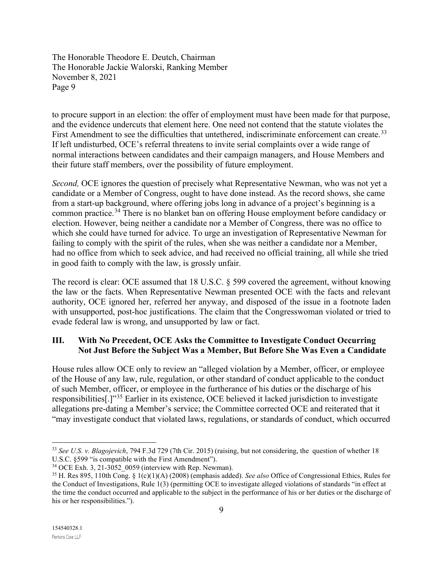to procure support in an election: the offer of employment must have been made for that purpose, and the evidence undercuts that element here. One need not contend that the statute violates the First Amendment to see the difficulties that untethered, indiscriminate enforcement can create.<sup>[33](#page-8-0)</sup> If left undisturbed, OCE's referral threatens to invite serial complaints over a wide range of normal interactions between candidates and their campaign managers, and House Members and their future staff members, over the possibility of future employment.

*Second*, OCE ignores the question of precisely what Representative Newman, who was not yet a candidate or a Member of Congress, ought to have done instead. As the record shows, she came from a start-up background, where offering jobs long in advance of a project's beginning is a common practice.<sup>[34](#page-8-1)</sup> There is no blanket ban on offering House employment before candidacy or election. However, being neither a candidate nor a Member of Congress, there was no office to which she could have turned for advice. To urge an investigation of Representative Newman for failing to comply with the spirit of the rules, when she was neither a candidate nor a Member, had no office from which to seek advice, and had received no official training, all while she tried in good faith to comply with the law, is grossly unfair.

The record is clear: OCE assumed that 18 U.S.C. § 599 covered the agreement, without knowing the law or the facts. When Representative Newman presented OCE with the facts and relevant authority, OCE ignored her, referred her anyway, and disposed of the issue in a footnote laden with unsupported, post-hoc justifications. The claim that the Congresswoman violated or tried to evade federal law is wrong, and unsupported by law or fact.

## **III. With No Precedent, OCE Asks the Committee to Investigate Conduct Occurring Not Just Before the Subject Was a Member, But Before She Was Even a Candidate**

House rules allow OCE only to review an "alleged violation by a Member, officer, or employee of the House of any law, rule, regulation, or other standard of conduct applicable to the conduct of such Member, officer, or employee in the furtherance of his duties or the discharge of his responsibilities[.]"[35](#page-8-2) Earlier in its existence, OCE believed it lacked jurisdiction to investigate allegations pre-dating a Member's service; the Committee corrected OCE and reiterated that it "may investigate conduct that violated laws, regulations, or standards of conduct, which occurred

<span id="page-8-0"></span><sup>33</sup> *See U.S. v. Blagojevich*, 794 F.3d 729 (7th Cir. 2015) (raising, but not considering, the question of whether 18 U.S.C. §599 "is compatible with the First Amendment").

<span id="page-8-1"></span><sup>34</sup> OCE Exh. 3, 21-3052\_0059 (interview with Rep. Newman).

<span id="page-8-2"></span><sup>35</sup> H. Res 895, 110th Cong. § 1(c)(1)(A) (2008) (emphasis added). *See also* Office of Congressional Ethics, Rules for the Conduct of Investigations, Rule 1(3) (permitting OCE to investigate alleged violations of standards "in effect at the time the conduct occurred and applicable to the subject in the performance of his or her duties or the discharge of his or her responsibilities.").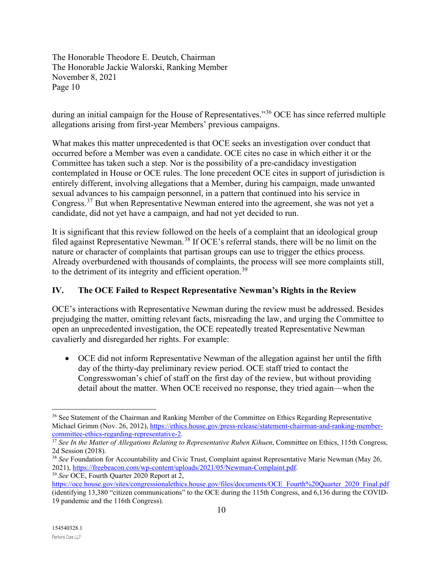during an initial campaign for the House of Representatives."[36](#page-9-0) OCE has since referred multiple allegations arising from first-year Members' previous campaigns.

What makes this matter unprecedented is that OCE seeks an investigation over conduct that occurred before a Member was even a candidate. OCE cites no case in which either it or the Committee has taken such a step. Nor is the possibility of a pre-candidacy investigation contemplated in House or OCE rules. The lone precedent OCE cites in support of jurisdiction is entirely different, involving allegations that a Member, during his campaign, made unwanted sexual advances to his campaign personnel, in a pattern that continued into his service in Congress.<sup>[37](#page-9-1)</sup> But when Representative Newman entered into the agreement, she was not yet a candidate, did not yet have a campaign, and had not yet decided to run.

It is significant that this review followed on the heels of a complaint that an ideological group filed against Representative Newman.<sup>[38](#page-9-2)</sup> If OCE's referral stands, there will be no limit on the nature or character of complaints that partisan groups can use to trigger the ethics process. Already overburdened with thousands of complaints, the process will see more complaints still, to the detriment of its integrity and efficient operation.<sup>[39](#page-9-3)</sup>

# **IV. The OCE Failed to Respect Representative Newman's Rights in the Review**

OCE's interactions with Representative Newman during the review must be addressed. Besides prejudging the matter, omitting relevant facts, misreading the law, and urging the Committee to open an unprecedented investigation, the OCE repeatedly treated Representative Newman cavalierly and disregarded her rights. For example:

• OCE did not inform Representative Newman of the allegation against her until the fifth day of the thirty-day preliminary review period. OCE staff tried to contact the Congresswoman's chief of staff on the first day of the review, but without providing detail about the matter. When OCE received no response, they tried again—when the

<span id="page-9-0"></span><sup>&</sup>lt;sup>36</sup> See Statement of the Chairman and Ranking Member of the Committee on Ethics Regarding Representative Michael Grimm (Nov. 26, 2012)[, https://ethics.house.gov/press-release/statement-chairman-and-ranking-member](https://ethics.house.gov/press-release/statement-chairman-and-ranking-member-committee-ethics-regarding-representative-2)[committee-ethics-regarding-representative-2.](https://ethics.house.gov/press-release/statement-chairman-and-ranking-member-committee-ethics-regarding-representative-2)

<span id="page-9-1"></span><sup>&</sup>lt;sup>37</sup> See In the Matter of Allegations Relating to Representative Ruben Kihuen, Committee on Ethics, 115th Congress, 2d Session (2018).

<span id="page-9-2"></span><sup>38</sup> *See* Foundation for Accountability and Civic Trust, Complaint against Representative Marie Newman (May 26, 2021), [https://freebeacon.com/wp-content/uploads/2021/05/Newman-Complaint.pdf.](https://freebeacon.com/wp-content/uploads/2021/05/Newman-Complaint.pdf) 39 *See* OCE, Fourth Quarter 2020 Report at 2,

<span id="page-9-3"></span>https://oce.house.gov/sites/congressionalethics.house.gov/files/documents/OCE\_Fourth%20Quarter\_2020\_Final.pdf (identifying 13,380 "citizen communications" to the OCE during the 115th Congress, and 6,136 during the COVID-19 pandemic and the 116th Congress).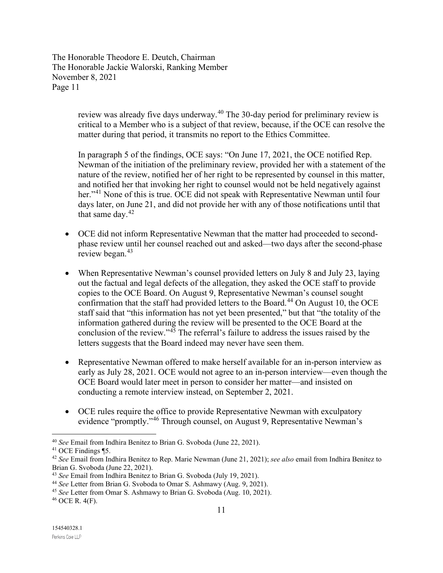> review was already five days underway.<sup>[40](#page-10-0)</sup> The 30-day period for preliminary review is critical to a Member who is a subject of that review, because, if the OCE can resolve the matter during that period, it transmits no report to the Ethics Committee.

> In paragraph 5 of the findings, OCE says: "On June 17, 2021, the OCE notified Rep. Newman of the initiation of the preliminary review, provided her with a statement of the nature of the review, notified her of her right to be represented by counsel in this matter, and notified her that invoking her right to counsel would not be held negatively against her."<sup>[41](#page-10-1)</sup> None of this is true. OCE did not speak with Representative Newman until four days later, on June 21, and did not provide her with any of those notifications until that that same day. $42$

- OCE did not inform Representative Newman that the matter had proceeded to secondphase review until her counsel reached out and asked—two days after the second-phase review began.<sup>[43](#page-10-3)</sup>
- When Representative Newman's counsel provided letters on July 8 and July 23, laying out the factual and legal defects of the allegation, they asked the OCE staff to provide copies to the OCE Board. On August 9, Representative Newman's counsel sought confirmation that the staff had provided letters to the Board.<sup>[44](#page-10-4)</sup> On August 10, the OCE staff said that "this information has not yet been presented," but that "the totality of the information gathered during the review will be presented to the OCE Board at the conclusion of the review."[45](#page-10-5) The referral's failure to address the issues raised by the letters suggests that the Board indeed may never have seen them.
- Representative Newman offered to make herself available for an in-person interview as early as July 28, 2021. OCE would not agree to an in-person interview—even though the OCE Board would later meet in person to consider her matter—and insisted on conducting a remote interview instead, on September 2, 2021.
- OCE rules require the office to provide Representative Newman with exculpatory evidence "promptly."<sup>[46](#page-10-6)</sup> Through counsel, on August 9, Representative Newman's

<span id="page-10-0"></span><sup>40</sup> *See* Email from Indhira Benitez to Brian G. Svoboda (June 22, 2021). 41 OCE Findings ¶5.

<span id="page-10-2"></span><span id="page-10-1"></span><sup>42</sup> *See* Email from Indhira Benitez to Rep. Marie Newman (June 21, 2021); *see also* email from Indhira Benitez to Brian G. Svoboda (June 22, 2021).

<span id="page-10-3"></span><sup>43</sup> *See* Email from Indhira Benitez to Brian G. Svoboda (July 19, 2021).

<span id="page-10-4"></span><sup>44</sup> *See* Letter from Brian G. Svoboda to Omar S. Ashmawy (Aug. 9, 2021).

<span id="page-10-5"></span><sup>45</sup> *See* Letter from Omar S. Ashmawy to Brian G. Svoboda (Aug. 10, 2021).

<span id="page-10-6"></span><sup>46</sup> OCE R. 4(F).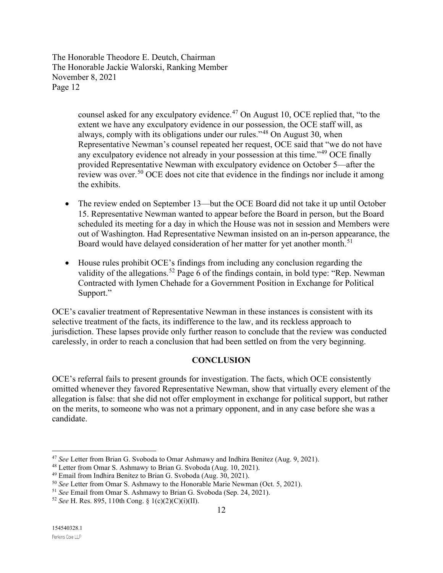> counsel asked for any exculpatory evidence.<sup>[47](#page-11-0)</sup> On August 10, OCE replied that, "to the extent we have any exculpatory evidence in our possession, the OCE staff will, as always, comply with its obligations under our rules."<sup>[48](#page-11-1)</sup> On August 30, when Representative Newman's counsel repeated her request, OCE said that "we do not have any exculpatory evidence not already in your possession at this time.<sup>1[49](#page-11-2)</sup> OCE finally provided Representative Newman with exculpatory evidence on October 5—after the review was over.<sup>[50](#page-11-3)</sup> OCE does not cite that evidence in the findings nor include it among the exhibits.

- The review ended on September 13—but the OCE Board did not take it up until October 15. Representative Newman wanted to appear before the Board in person, but the Board scheduled its meeting for a day in which the House was not in session and Members were out of Washington. Had Representative Newman insisted on an in-person appearance, the Board would have delayed consideration of her matter for yet another month.<sup>[51](#page-11-4)</sup>
- House rules prohibit OCE's findings from including any conclusion regarding the validity of the allegations.<sup>[52](#page-11-5)</sup> Page 6 of the findings contain, in bold type: "Rep. Newman" Contracted with Iymen Chehade for a Government Position in Exchange for Political Support."

OCE's cavalier treatment of Representative Newman in these instances is consistent with its selective treatment of the facts, its indifference to the law, and its reckless approach to jurisdiction. These lapses provide only further reason to conclude that the review was conducted carelessly, in order to reach a conclusion that had been settled on from the very beginning.

### **CONCLUSION**

OCE's referral fails to present grounds for investigation. The facts, which OCE consistently omitted whenever they favored Representative Newman, show that virtually every element of the allegation is false: that she did not offer employment in exchange for political support, but rather on the merits, to someone who was not a primary opponent, and in any case before she was a candidate.

<span id="page-11-1"></span><span id="page-11-0"></span><sup>&</sup>lt;sup>47</sup> *See* Letter from Brian G. Svoboda to Omar Ashmawy and Indhira Benitez (Aug. 9, 2021).<br><sup>48</sup> Letter from Omar S. Ashmawy to Brian G. Svoboda (Aug. 10, 2021).

<span id="page-11-2"></span> $49$  Email from Indhira Benitez to Brian G. Svoboda (Aug. 30, 2021).

<span id="page-11-3"></span><sup>50</sup> *See* Letter from Omar S. Ashmawy to the Honorable Marie Newman (Oct. 5, 2021).

<span id="page-11-4"></span><sup>51</sup> *See* Email from Omar S. Ashmawy to Brian G. Svoboda (Sep. 24, 2021).

<span id="page-11-5"></span><sup>52</sup> *See* H. Res. 895, 110th Cong. § 1(c)(2)(C)(i)(II).